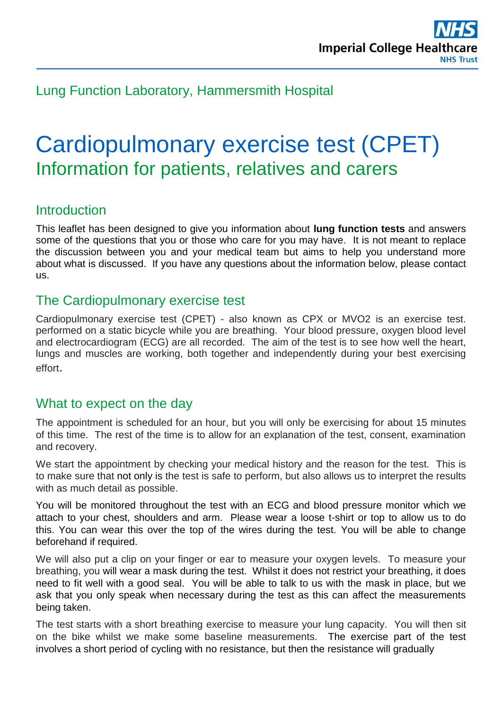

Lung Function Laboratory, Hammersmith Hospital

# Cardiopulmonary exercise test (CPET) Information for patients, relatives and carers

### **Introduction**

This leaflet has been designed to give you information about **lung function tests** and answers some of the questions that you or those who care for you may have. It is not meant to replace the discussion between you and your medical team but aims to help you understand more about what is discussed. If you have any questions about the information below, please contact us.

### The Cardiopulmonary exercise test

Cardiopulmonary exercise test (CPET) - also known as CPX or MVO2 is an exercise test. performed on a static bicycle while you are breathing. Your blood pressure, oxygen blood level and electrocardiogram (ECG) are all recorded. The aim of the test is to see how well the heart, lungs and muscles are working, both together and independently during your best exercising effort.

### What to expect on the day

The appointment is scheduled for an hour, but you will only be exercising for about 15 minutes of this time. The rest of the time is to allow for an explanation of the test, consent, examination and recovery.

We start the appointment by checking your medical history and the reason for the test. This is to make sure that not only is the test is safe to perform, but also allows us to interpret the results with as much detail as possible.

You will be monitored throughout the test with an ECG and blood pressure monitor which we attach to your chest, shoulders and arm. Please wear a loose t-shirt or top to allow us to do this. You can wear this over the top of the wires during the test. You will be able to change beforehand if required.

We will also put a clip on your finger or ear to measure your oxygen levels. To measure your breathing, you will wear a mask during the test. Whilst it does not restrict your breathing, it does need to fit well with a good seal. You will be able to talk to us with the mask in place, but we ask that you only speak when necessary during the test as this can affect the measurements being taken.

The test starts with a short breathing exercise to measure your lung capacity. You will then sit on the bike whilst we make some baseline measurements. The exercise part of the test involves a short period of cycling with no resistance, but then the resistance will gradually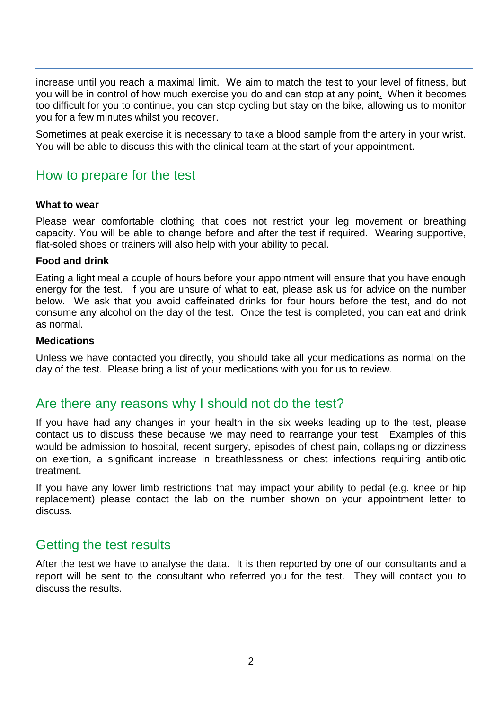increase until you reach a maximal limit. We aim to match the test to your level of fitness, but you will be in control of how much exercise you do and can stop at any point. When it becomes too difficult for you to continue, you can stop cycling but stay on the bike, allowing us to monitor you for a few minutes whilst you recover.

Sometimes at peak exercise it is necessary to take a blood sample from the artery in your wrist. You will be able to discuss this with the clinical team at the start of your appointment.

## How to prepare for the test

#### **What to wear**

Please wear comfortable clothing that does not restrict your leg movement or breathing capacity. You will be able to change before and after the test if required. Wearing supportive, flat-soled shoes or trainers will also help with your ability to pedal.

#### **Food and drink**

Eating a light meal a couple of hours before your appointment will ensure that you have enough energy for the test. If you are unsure of what to eat, please ask us for advice on the number below. We ask that you avoid caffeinated drinks for four hours before the test, and do not consume any alcohol on the day of the test. Once the test is completed, you can eat and drink as normal.

#### **Medications**

Unless we have contacted you directly, you should take all your medications as normal on the day of the test. Please bring a list of your medications with you for us to review.

### Are there any reasons why I should not do the test?

If you have had any changes in your health in the six weeks leading up to the test, please contact us to discuss these because we may need to rearrange your test. Examples of this would be admission to hospital, recent surgery, episodes of chest pain, collapsing or dizziness on exertion, a significant increase in breathlessness or chest infections requiring antibiotic treatment.

If you have any lower limb restrictions that may impact your ability to pedal (e.g. knee or hip replacement) please contact the lab on the number shown on your appointment letter to discuss.

### Getting the test results

After the test we have to analyse the data. It is then reported by one of our consultants and a report will be sent to the consultant who referred you for the test. They will contact you to discuss the results.